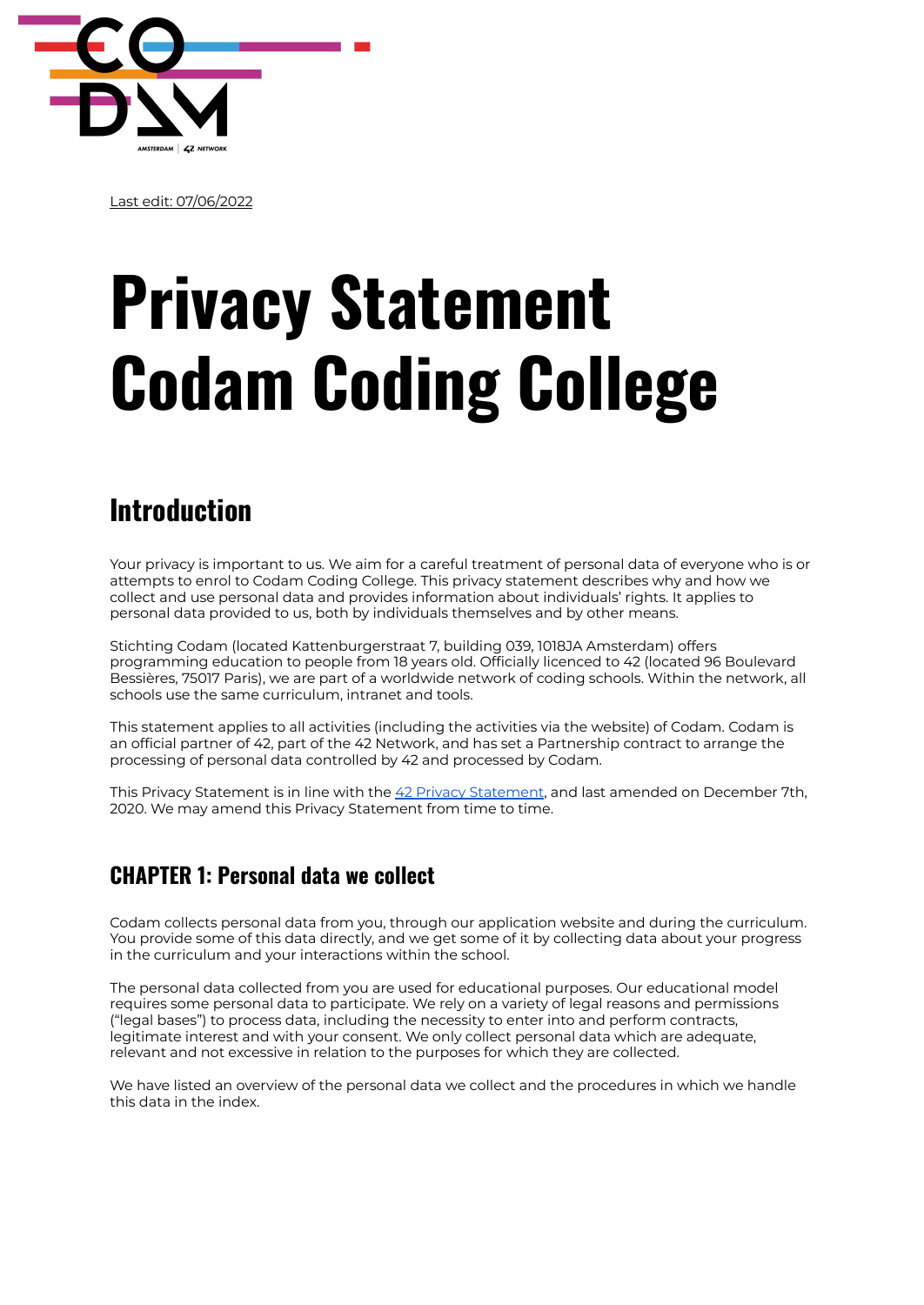

Last edit: 07/06/2022

# **Privacy Statement Codam Coding College**

# **Introduction**

Your privacy is important to us. We aim for a careful treatment of personal data of everyone who is or attempts to enrol to Codam Coding College. This privacy statement describes why and how we collect and use personal data and provides information about individuals' rights. It applies to personal data provided to us, both by individuals themselves and by other means.

Stichting Codam (located Kattenburgerstraat 7, building 039, 1018JA Amsterdam) offers programming education to people from 18 years old. Officially licenced to 42 (located 96 Boulevard Bessières, 75017 Paris), we are part of a worldwide network of coding schools. Within the network, all schools use the same curriculum, intranet and tools.

This statement applies to all activities (including the activities via the website) of Codam. Codam is an official partner of 42, part of the 42 Network, and has set a Partnership contract to arrange the processing of personal data controlled by 42 and processed by Codam.

This Privacy Statement is in line with the 42 Privacy [Statement](https://www.42.fr/politique-de-confidentialite/), and last amended on December 7th, 2020. We may amend this Privacy Statement from time to time.

## **CHAPTER 1: Personal data we collect**

Codam collects personal data from you, through our application website and during the curriculum. You provide some of this data directly, and we get some of it by collecting data about your progress in the curriculum and your interactions within the school.

The personal data collected from you are used for educational purposes. Our educational model requires some personal data to participate. We rely on a variety of legal reasons and permissions ("legal bases") to process data, including the necessity to enter into and perform contracts, legitimate interest and with your consent. We only collect personal data which are adequate, relevant and not excessive in relation to the purposes for which they are collected.

We have listed an overview of the personal data we collect and the procedures in which we handle this data in the index.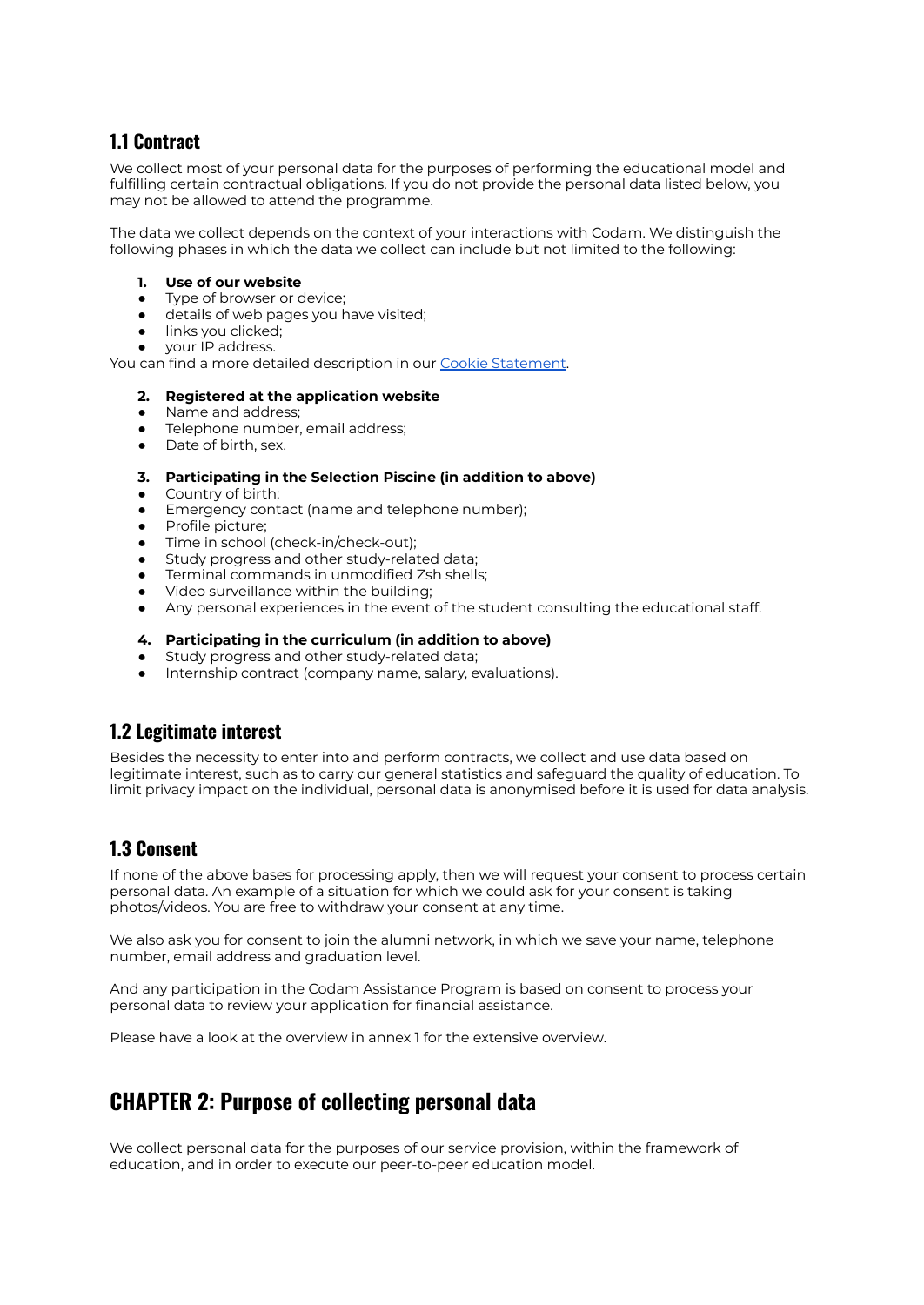## **1.1 Contract**

We collect most of your personal data for the purposes of performing the educational model and fulfilling certain contractual obligations. If you do not provide the personal data listed below, you may not be allowed to attend the programme.

The data we collect depends on the context of your interactions with Codam. We distinguish the following phases in which the data we collect can include but not limited to the following:

#### **1. Use of our website**

- Type of browser or device;
- details of web pages you have visited;
- links you clicked;
- your IP address.

You can find a more detailed description in our Cookie [Statement](https://www.codam.nl/cookies).

#### **2. Registered at the application website**

- Name and address;
- Telephone number, email address;
- Date of birth, sex.

#### **3. Participating in the Selection Piscine (in addition to above)**

- Country of birth;
- Emergency contact (name and telephone number);
- Profile picture;
- Time in school (check-in/check-out);
- Study progress and other study-related data;
- Terminal commands in unmodified Zsh shells:
- Video surveillance within the building;
- Any personal experiences in the event of the student consulting the educational staff.

#### **4. Participating in the curriculum (in addition to above)**

- Study progress and other study-related data;
- Internship contract (company name, salary, evaluations).

### **1.2 Legitimate interest**

Besides the necessity to enter into and perform contracts, we collect and use data based on legitimate interest, such as to carry our general statistics and safeguard the quality of education. To limit privacy impact on the individual, personal data is anonymised before it is used for data analysis.

#### **1.3 Consent**

If none of the above bases for processing apply, then we will request your consent to process certain personal data. An example of a situation for which we could ask for your consent is taking photos/videos. You are free to withdraw your consent at any time.

We also ask you for consent to join the alumni network, in which we save your name, telephone number, email address and graduation level.

And any participation in the Codam Assistance Program is based on consent to process your personal data to review your application for financial assistance.

Please have a look at the overview in annex 1 for the extensive overview.

## **CHAPTER 2: Purpose of collecting personal data**

We collect personal data for the purposes of our service provision, within the framework of education, and in order to execute our peer-to-peer education model.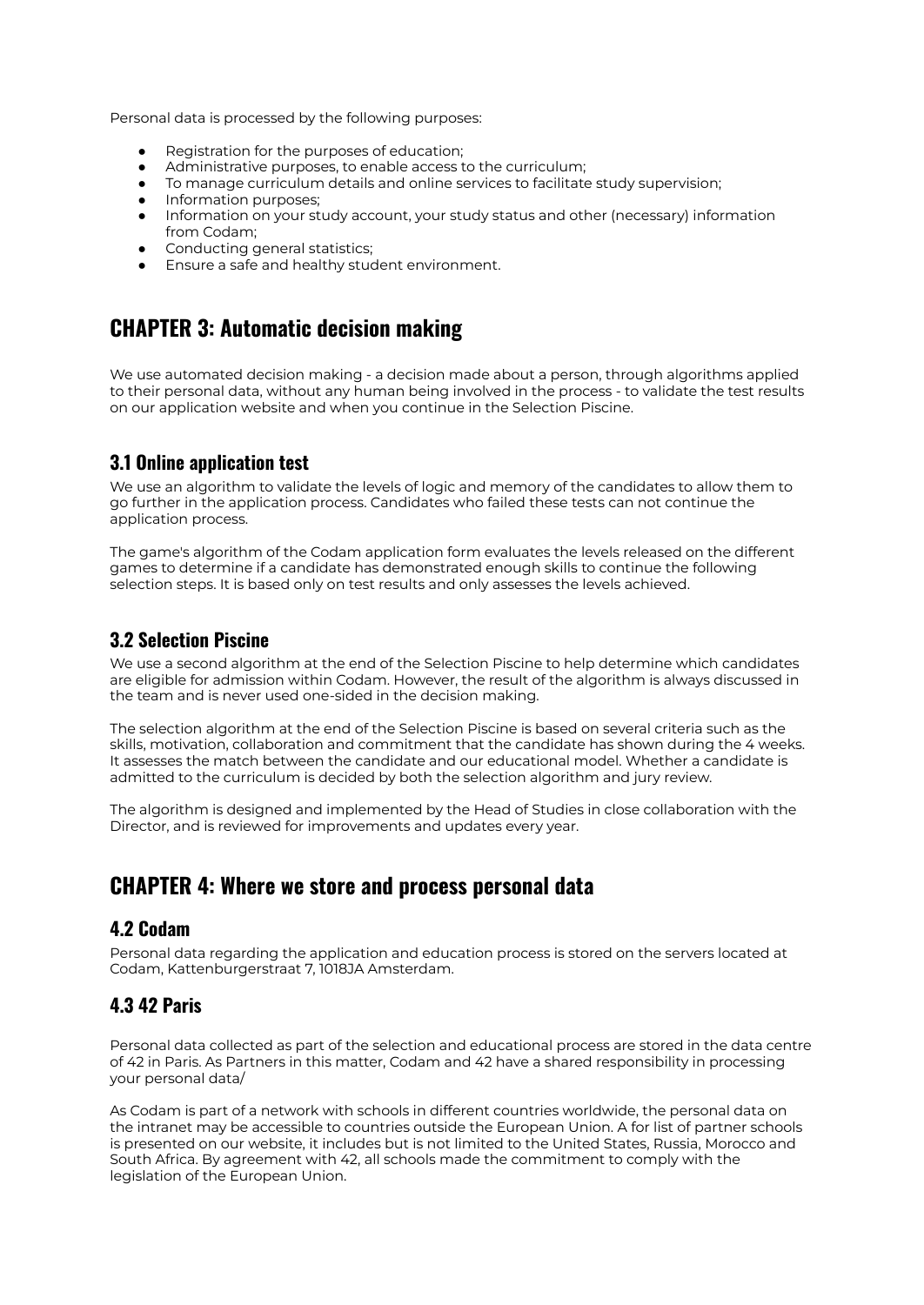Personal data is processed by the following purposes:

- Registration for the purposes of education;
- Administrative purposes, to enable access to the curriculum;
- To manage curriculum details and online services to facilitate study supervision;
- Information purposes:
- Information on your study account, your study status and other (necessary) information from Codam;
- Conducting general statistics:
- Ensure a safe and healthy student environment.

## **CHAPTER 3: Automatic decision making**

We use automated decision making - a decision made about a person, through algorithms applied to their personal data, without any human being involved in the process - to validate the test results on our application website and when you continue in the Selection Piscine.

#### **3.1 Online application test**

We use an algorithm to validate the levels of logic and memory of the candidates to allow them to go further in the application process. Candidates who failed these tests can not continue the application process.

The game's algorithm of the Codam application form evaluates the levels released on the different games to determine if a candidate has demonstrated enough skills to continue the following selection steps. It is based only on test results and only assesses the levels achieved.

#### **3.2 Selection Piscine**

We use a second algorithm at the end of the Selection Piscine to help determine which candidates are eligible for admission within Codam. However, the result of the algorithm is always discussed in the team and is never used one-sided in the decision making.

The selection algorithm at the end of the Selection Piscine is based on several criteria such as the skills, motivation, collaboration and commitment that the candidate has shown during the 4 weeks. It assesses the match between the candidate and our educational model. Whether a candidate is admitted to the curriculum is decided by both the selection algorithm and jury review.

The algorithm is designed and implemented by the Head of Studies in close collaboration with the Director, and is reviewed for improvements and updates every year.

## **CHAPTER 4: Where we store and process personal data**

#### **4.2 Codam**

Personal data regarding the application and education process is stored on the servers located at Codam, Kattenburgerstraat 7, 1018JA Amsterdam.

## **4.3 42 Paris**

Personal data collected as part of the selection and educational process are stored in the data centre of 42 in Paris. As Partners in this matter, Codam and 42 have a shared responsibility in processing your personal data/

As Codam is part of a network with schools in different countries worldwide, the personal data on the intranet may be accessible to countries outside the European Union. A for list of partner schools is presented on our website, it includes but is not limited to the United States, Russia, Morocco and South Africa. By agreement with 42, all schools made the commitment to comply with the legislation of the European Union.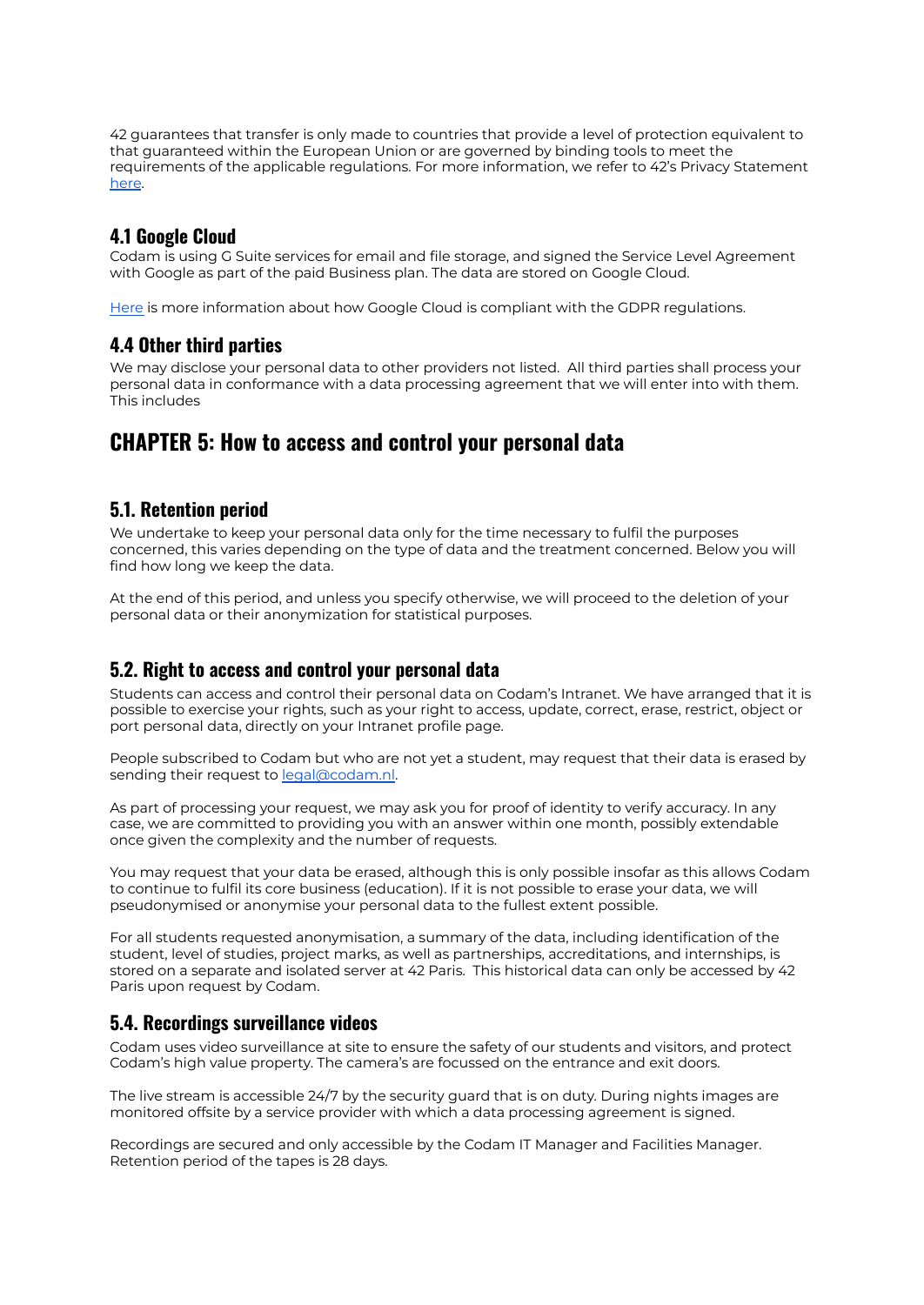42 guarantees that transfer is only made to countries that provide a level of protection equivalent to that guaranteed within the European Union or are governed by binding tools to meet the requirements of the applicable regulations. For more information, we refer to 42's Privacy Statement [here](https://www.42.fr/politique-de-confidentialite/).

#### **4.1 Google Cloud**

Codam is using G Suite services for email and file storage, and signed the Service Level Agreement with Google as part of the paid Business plan. The data are stored on Google Cloud.

[Here](https://privacy.google.com/businesses/compliance/) is more information about how Google Cloud is compliant with the GDPR regulations.

#### **4.4 Other third parties**

We may disclose your personal data to other providers not listed. All third parties shall process your personal data in conformance with a data processing agreement that we will enter into with them. This includes

## **CHAPTER 5: How to access and control your personal data**

#### **5.1. Retention period**

We undertake to keep your personal data only for the time necessary to fulfil the purposes concerned, this varies depending on the type of data and the treatment concerned. Below you will find how long we keep the data.

At the end of this period, and unless you specify otherwise, we will proceed to the deletion of your personal data or their anonymization for statistical purposes.

#### **5.2. Right to access and control your personal data**

Students can access and control their personal data on Codam's Intranet. We have arranged that it is possible to exercise your rights, such as your right to access, update, correct, erase, restrict, object or port personal data, directly on your Intranet profile page.

People subscribed to Codam but who are not yet a student, may request that their data is erased by sending their request to [legal@codam.nl.](mailto:legal@codam.nl)

As part of processing your request, we may ask you for proof of identity to verify accuracy. In any case, we are committed to providing you with an answer within one month, possibly extendable once given the complexity and the number of requests.

You may request that your data be erased, although this is only possible insofar as this allows Codam to continue to fulfil its core business (education). If it is not possible to erase your data, we will pseudonymised or anonymise your personal data to the fullest extent possible.

For all students requested anonymisation, a summary of the data, including identification of the student, level of studies, project marks, as well as partnerships, accreditations, and internships, is stored on a separate and isolated server at 42 Paris. This historical data can only be accessed by 42 Paris upon request by Codam.

#### **5.4. Recordings surveillance videos**

Codam uses video surveillance at site to ensure the safety of our students and visitors, and protect Codam's high value property. The camera's are focussed on the entrance and exit doors.

The live stream is accessible 24/7 by the security guard that is on duty. During nights images are monitored offsite by a service provider with which a data processing agreement is signed.

Recordings are secured and only accessible by the Codam IT Manager and Facilities Manager. Retention period of the tapes is 28 days.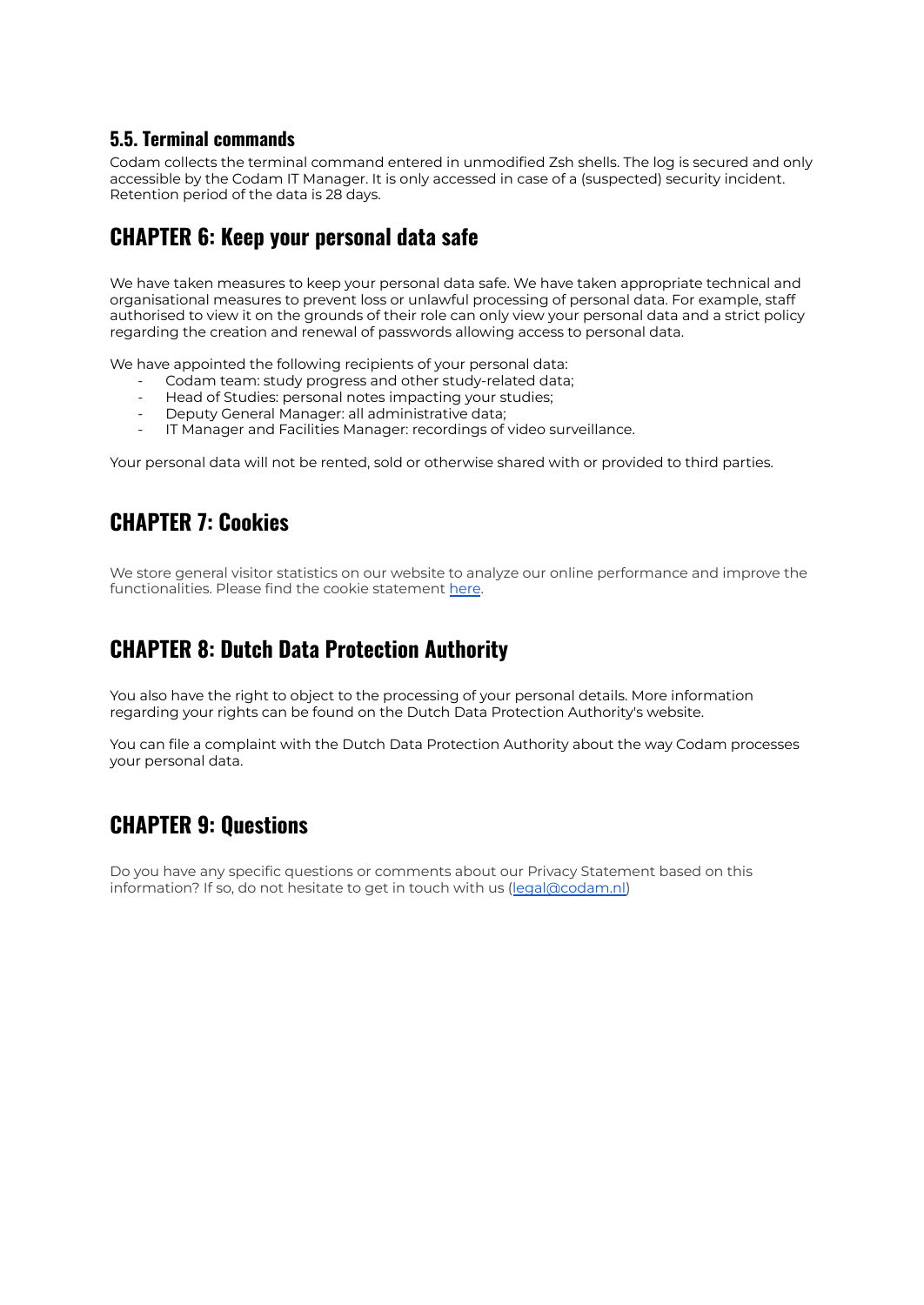#### **5.5. Terminal commands**

Codam collects the terminal command entered in unmodified Zsh shells. The log is secured and only accessible by the Codam IT Manager. It is only accessed in case of a (suspected) security incident. Retention period of the data is 28 days.

## **CHAPTER 6: Keep your personal data safe**

We have taken measures to keep your personal data safe. We have taken appropriate technical and organisational measures to prevent loss or unlawful processing of personal data. For example, staff authorised to view it on the grounds of their role can only view your personal data and a strict policy regarding the creation and renewal of passwords allowing access to personal data.

We have appointed the following recipients of your personal data:

- Codam team: study progress and other study-related data;
- Head of Studies: personal notes impacting your studies;
- Deputy General Manager: all administrative data;
- IT Manager and Facilities Manager: recordings of video surveillance.

Your personal data will not be rented, sold or otherwise shared with or provided to third parties.

# **CHAPTER 7: Cookies**

We store general visitor statistics on our website to analyze our online performance and improve the functionalities. Please find the cookie statement [here](https://www.codam.nl/cookies).

## **CHAPTER 8: Dutch Data Protection Authority**

You also have the right to object to the processing of your personal details. More information regarding your rights can be found on the Dutch Data Protection Authority's website.

You can file a complaint with the Dutch Data Protection Authority about the way Codam processes your personal data.

## **CHAPTER 9: Questions**

Do you have any specific questions or comments about our Privacy Statement based on this information? If so, do not hesitate to get in touch with us ([legal@codam.nl\)](mailto:legal@codam.nl)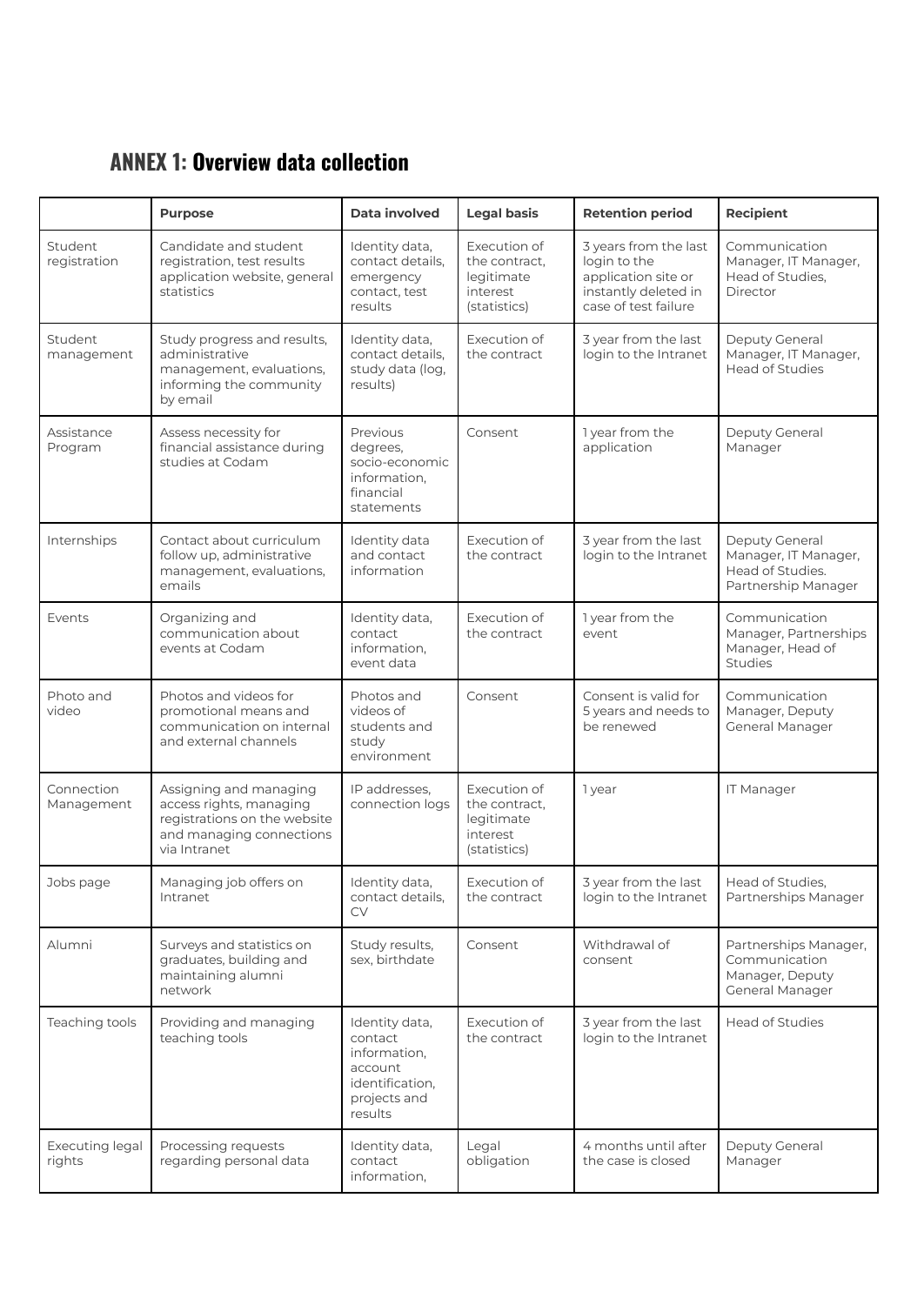# **ANNEX 1: Overview data collection**

|                           | <b>Purpose</b>                                                                                                                | Data involved                                                                                      | <b>Legal basis</b>                                                      | <b>Retention period</b>                                                                                      | <b>Recipient</b>                                                                  |
|---------------------------|-------------------------------------------------------------------------------------------------------------------------------|----------------------------------------------------------------------------------------------------|-------------------------------------------------------------------------|--------------------------------------------------------------------------------------------------------------|-----------------------------------------------------------------------------------|
| Student<br>registration   | Candidate and student<br>registration, test results<br>application website, general<br>statistics                             | Identity data,<br>contact details,<br>emergency<br>contact, test<br>results                        | Execution of<br>the contract.<br>legitimate<br>interest<br>(statistics) | 3 years from the last<br>login to the<br>application site or<br>instantly deleted in<br>case of test failure | Communication<br>Manager, IT Manager,<br>Head of Studies,<br>Director             |
| Student<br>management     | Study progress and results,<br>administrative<br>management, evaluations,<br>informing the community<br>by email              | Identity data,<br>contact details,<br>study data (log,<br>results)                                 | Execution of<br>the contract                                            | 3 year from the last<br>login to the Intranet                                                                | Deputy General<br>Manager, IT Manager,<br><b>Head of Studies</b>                  |
| Assistance<br>Program     | Assess necessity for<br>financial assistance during<br>studies at Codam                                                       | Previous<br>degrees,<br>socio-economic<br>information,<br>financial<br>statements                  | Consent                                                                 | 1 year from the<br>application                                                                               | Deputy General<br>Manager                                                         |
| Internships               | Contact about curriculum<br>follow up, administrative<br>management, evaluations,<br>emails                                   | Identity data<br>and contact<br>information                                                        | Execution of<br>the contract                                            | 3 year from the last<br>login to the Intranet                                                                | Deputy General<br>Manager, IT Manager,<br>Head of Studies.<br>Partnership Manager |
| Events                    | Organizing and<br>communication about<br>events at Codam                                                                      | Identity data,<br>contact<br>information.<br>event data                                            | Execution of<br>the contract                                            | 1 year from the<br>event                                                                                     | Communication<br>Manager, Partnerships<br>Manager, Head of<br><b>Studies</b>      |
| Photo and<br>video        | Photos and videos for<br>promotional means and<br>communication on internal<br>and external channels                          | Photos and<br>videos of<br>students and<br>study<br>environment                                    | Consent                                                                 | Consent is valid for<br>5 years and needs to<br>be renewed                                                   | Communication<br>Manager, Deputy<br>General Manager                               |
| Connection<br>Management  | Assigning and managing<br>access rights, managing<br>registrations on the website<br>and managing connections<br>via Intranet | IP addresses.<br>connection logs                                                                   | Execution of<br>the contract,<br>legitimate<br>interest<br>(statistics) | 1 year                                                                                                       | IT Manager                                                                        |
| Jobs page                 | Managing job offers on<br>Intranet                                                                                            | Identity data,<br>contact details,<br><b>CV</b>                                                    | Execution of<br>the contract                                            | 3 year from the last<br>login to the Intranet                                                                | Head of Studies,<br>Partnerships Manager                                          |
| Alumni                    | Surveys and statistics on<br>graduates, building and<br>maintaining alumni<br>network                                         | Study results,<br>sex, birthdate                                                                   | Consent                                                                 | Withdrawal of<br>consent                                                                                     | Partnerships Manager,<br>Communication<br>Manager, Deputy<br>General Manager      |
| Teaching tools            | Providing and managing<br>teaching tools                                                                                      | Identity data,<br>contact<br>information,<br>account<br>identification,<br>projects and<br>results | Execution of<br>the contract                                            | 3 year from the last<br>login to the Intranet                                                                | Head of Studies                                                                   |
| Executing legal<br>rights | Processing requests<br>regarding personal data                                                                                | Identity data,<br>contact<br>information,                                                          | Legal<br>obligation                                                     | 4 months until after<br>the case is closed                                                                   | Deputy General<br>Manager                                                         |